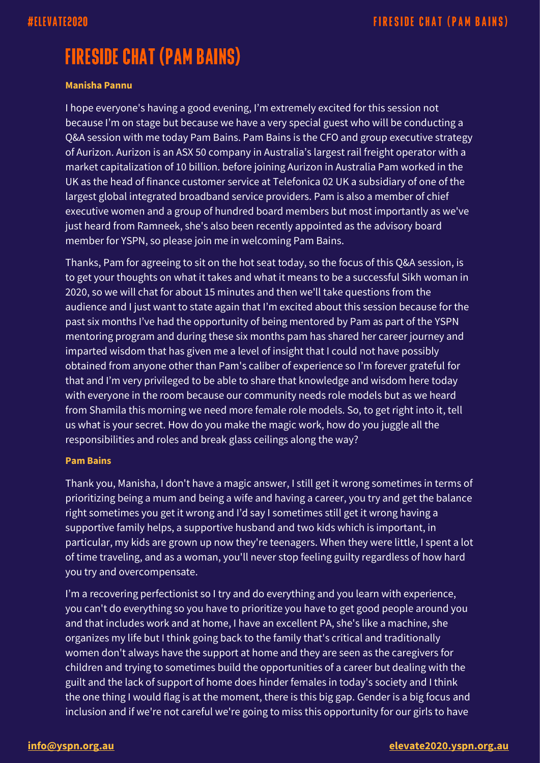# **FIRESIDE CHAT (PAM BAINS)**

### **Manisha Pannu**

I hope everyone's having a good evening, I'm extremely excited for this session not because I'm on stage but because we have a very special guest who will be conducting a Q&A session with me today Pam Bains. Pam Bains is the CFO and group executive strategy of Aurizon. Aurizon is an ASX 50 company in Australia's largest rail freight operator with a market capitalization of 10 billion. before joining Aurizon in Australia Pam worked in the UK as the head of finance customer service at Telefonica 02 UK a subsidiary of one of the largest global integrated broadband service providers. Pam is also a member of chief executive women and a group of hundred board members but most importantly as we've just heard from Ramneek, she's also been recently appointed as the advisory board member for YSPN, so please join me in welcoming Pam Bains.

Thanks, Pam for agreeing to sit on the hot seat today, so the focus of this Q&A session, is to get your thoughts on what it takes and what it means to be a successful Sikh woman in 2020, so we will chat for about 15 minutes and then we'll take questions from the audience and I just want to state again that I'm excited about this session because for the past six months I've had the opportunity of being mentored by Pam as part of the YSPN mentoring program and during these six months pam has shared her career journey and imparted wisdom that has given me a level of insight that I could not have possibly obtained from anyone other than Pam's caliber of experience so I'm forever grateful for that and I'm very privileged to be able to share that knowledge and wisdom here today with everyone in the room because our community needs role models but as we heard from Shamila this morning we need more female role models. So, to get right into it, tell us what is your secret. How do you make the magic work, how do you juggle all the responsibilities and roles and break glass ceilings along the way?

#### **Pam Bains**

Thank you, Manisha, I don't have a magic answer, I still get it wrong sometimes in terms of prioritizing being a mum and being a wife and having a career, you try and get the balance right sometimes you get it wrong and I'd say I sometimes still get it wrong having a supportive family helps, a supportive husband and two kids which is important, in particular, my kids are grown up now they're teenagers. When they were little, I spent a lot of time traveling, and as a woman, you'll never stop feeling guilty regardless of how hard you try and overcompensate.

I'm a recovering perfectionist so I try and do everything and you learn with experience, you can't do everything so you have to prioritize you have to get good people around you and that includes work and at home, I have an excellent PA, she's like a machine, she organizes my life but I think going back to the family that's critical and traditionally women don't always have the support at home and they are seen as the caregivers for children and trying to sometimes build the opportunities of a career but dealing with the guilt and the lack of support of home does hinder females in today's society and I think the one thing I would flag is at the moment, there is this big gap. Gender is a big focus and inclusion and if we're not careful we're going to miss this opportunity for our girls to have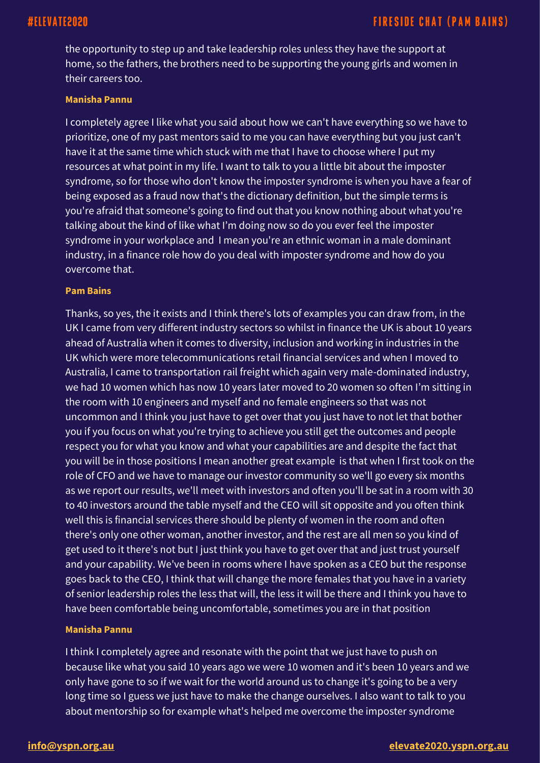the opportunity to step up and take leadership roles unless they have the support at home, so the fathers, the brothers need to be supporting the young girls and women in their careers too.

#### **Manisha Pannu**

I completely agree I like what you said about how we can't have everything so we have to prioritize, one of my past mentors said to me you can have everything but you just can't have it at the same time which stuck with me that I have to choose where I put my resources at what point in my life. I want to talk to you a little bit about the imposter syndrome, so for those who don't know the imposter syndrome is when you have a fear of being exposed as a fraud now that's the dictionary definition, but the simple terms is you're afraid that someone's going to find out that you know nothing about what you're talking about the kind of like what I'm doing now so do you ever feel the imposter syndrome in your workplace and I mean you're an ethnic woman in a male dominant industry, in a finance role how do you deal with imposter syndrome and how do you overcome that.

#### **Pam Bains**

Thanks, so yes, the it exists and I think there's lots of examples you can draw from, in the UK I came from very different industry sectors so whilst in finance the UK is about 10 years ahead of Australia when it comes to diversity, inclusion and working in industries in the UK which were more telecommunications retail financial services and when I moved to Australia, I came to transportation rail freight which again very male-dominated industry, we had 10 women which has now 10 years later moved to 20 women so often I'm sitting in the room with 10 engineers and myself and no female engineers so that was not uncommon and I think you just have to get over that you just have to not let that bother you if you focus on what you're trying to achieve you still get the outcomes and people respect you for what you know and what your capabilities are and despite the fact that you will be in those positions I mean another great example is that when I first took on the role of CFO and we have to manage our investor community so we'll go every six months as we report our results, we'll meet with investors and often you'll be sat in a room with 30 to 40 investors around the table myself and the CEO will sit opposite and you often think well this is financial services there should be plenty of women in the room and often there's only one other woman, another investor, and the rest are all men so you kind of get used to it there's not but I just think you have to get over that and just trust yourself and your capability. We've been in rooms where I have spoken as a CEO but the response goes back to the CEO, I think that will change the more females that you have in a variety of senior leadership roles the less that will, the less it will be there and I think you have to have been comfortable being uncomfortable, sometimes you are in that position

#### **Manisha Pannu**

I think I completely agree and resonate with the point that we just have to push on because like what you said 10 years ago we were 10 women and it's been 10 years and we only have gone to so if we wait for the world around us to change it's going to be a very long time so I guess we just have to make the change ourselves. I also want to talk to you about mentorship so for example what's helped me overcome the imposter syndrome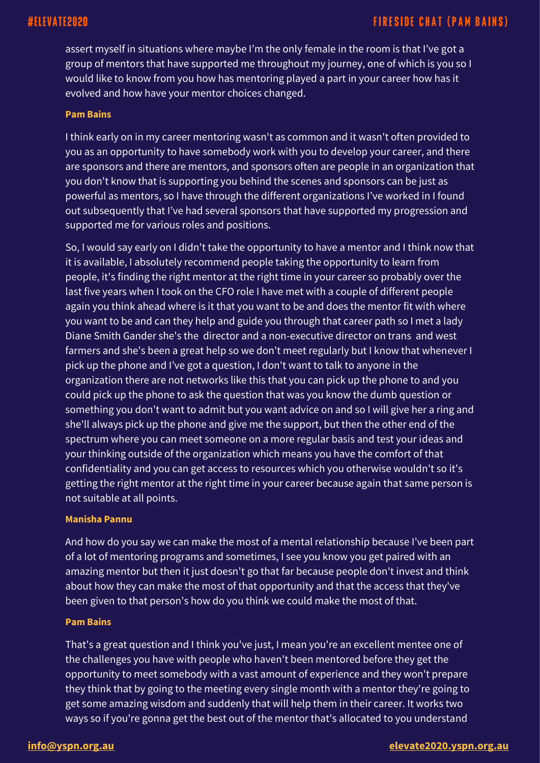assert myself in situations where maybe I'm the only female in the room is that I've got a group of mentors that have supported me throughout my journey, one of which is you so I would like to know from you how has mentoring played a part in your career how has it evolved and how have your mentor choices changed.

#### **Pam Bains**

I think early on in my career mentoring wasn't as common and it wasn't often provided to you as an opportunity to have somebody work with you to develop your career, and there are sponsors and there are mentors, and sponsors often are people in an organization that you don't know that is supporting you behind the scenes and sponsors can be just as powerful as mentors, so I have through the different organizations I've worked in I found out subsequently that I've had several sponsors that have supported my progression and supported me for various roles and positions.

So, I would say early on I didn't take the opportunity to have a mentor and I think now that it is available, I absolutely recommend people taking the opportunity to learn from people, it's finding the right mentor at the right time in your career so probably over the last five years when I took on the CFO role I have met with a couple of different people again you think ahead where is it that you want to be and does the mentor fit with where you want to be and can they help and guide you through that career path so I met a lady Diane Smith Gander she's the director and a non-executive director on trans and west farmers and she's been a great help so we don't meet regularly but I know that whenever I pick up the phone and I've got a question, I don't want to talk to anyone in the organization there are not networks like this that you can pick up the phone to and you could pick up the phone to ask the question that was you know the dumb question or something you don't want to admit but you want advice on and so I will give her a ring and she'll always pick up the phone and give me the support, but then the other end of the spectrum where you can meet someone on a more regular basis and test your ideas and your thinking outside of the organization which means you have the comfort of that confidentiality and you can get access to resources which you otherwise wouldn't so it's getting the right mentor at the right time in your career because again that same person is not suitable at all points.

#### **Manisha Pannu**

And how do you say we can make the most of a mental relationship because I've been part of a lot of mentoring programs and sometimes, I see you know you get paired with an amazing mentor but then it just doesn't go that far because people don't invest and think about how they can make the most of that opportunity and that the access that they've been given to that person's how do you think we could make the most of that.

#### **Pam Bains**

That's a great question and I think you've just, I mean you're an excellent mentee one of the challenges you have with people who haven't been mentored before they get the opportunity to meet somebody with a vast amount of experience and they won't prepare they think that by going to the meeting every single month with a mentor they're going to get some amazing wisdom and suddenly that will help them in their career. It works two ways so if you're gonna get the best out of the mentor that's allocated to you understand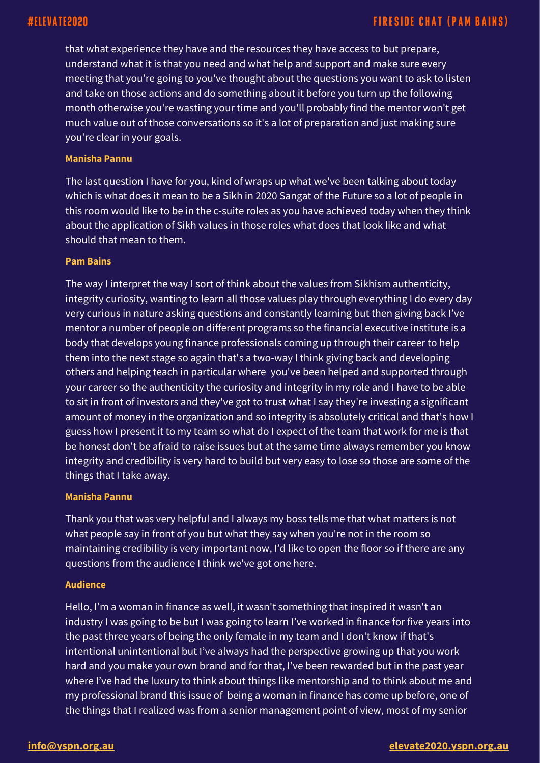that what experience they have and the resources they have access to but prepare, understand what it is that you need and what help and support and make sure every meeting that you're going to you've thought about the questions you want to ask to listen and take on those actions and do something about it before you turn up the following month otherwise you're wasting your time and you'll probably find the mentor won't get much value out of those conversations so it's a lot of preparation and just making sure you're clear in your goals.

### **Manisha Pannu**

The last question I have for you, kind of wraps up what we've been talking about today which is what does it mean to be a Sikh in 2020 Sangat of the Future so a lot of people in this room would like to be in the c-suite roles as you have achieved today when they think about the application of Sikh values in those roles what does that look like and what should that mean to them.

#### **Pam Bains**

The way I interpret the way I sort of think about the values from Sikhism authenticity, integrity curiosity, wanting to learn all those values play through everything I do every day very curious in nature asking questions and constantly learning but then giving back I've mentor a number of people on different programs so the financial executive institute is a body that develops young finance professionals coming up through their career to help them into the next stage so again that's a two-way I think giving back and developing others and helping teach in particular where you've been helped and supported through your career so the authenticity the curiosity and integrity in my role and I have to be able to sit in front of investors and they've got to trust what I say they're investing a significant amount of money in the organization and so integrity is absolutely critical and that's how I guess how I present it to my team so what do I expect of the team that work for me is that be honest don't be afraid to raise issues but at the same time always remember you know integrity and credibility is very hard to build but very easy to lose so those are some of the things that I take away.

#### **Manisha Pannu**

Thank you that was very helpful and I always my boss tells me that what matters is not what people say in front of you but what they say when you're not in the room so maintaining credibility is very important now, I'd like to open the floor so if there are any questions from the audience I think we've got one here.

#### **Audience**

Hello, I'm a woman in finance as well, it wasn't something that inspired it wasn't an industry I was going to be but I was going to learn I've worked in finance for five years into the past three years of being the only female in my team and I don't know if that's intentional unintentional but I've always had the perspective growing up that you work hard and you make your own brand and for that, I've been rewarded but in the past year where I've had the luxury to think about things like mentorship and to think about me and my professional brand this issue of being a woman in finance has come up before, one of the things that I realized was from a senior management point of view, most of my senior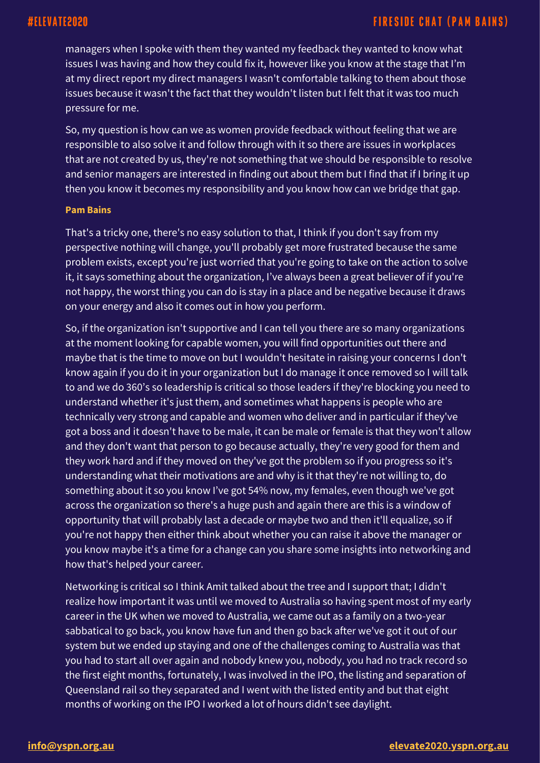managers when I spoke with them they wanted my feedback they wanted to know what issues I was having and how they could fix it, however like you know at the stage that I'm at my direct report my direct managers I wasn't comfortable talking to them about those issues because it wasn't the fact that they wouldn't listen but I felt that it was too much pressure for me.

So, my question is how can we as women provide feedback without feeling that we are responsible to also solve it and follow through with it so there are issues in workplaces that are not created by us, they're not something that we should be responsible to resolve and senior managers are interested in finding out about them but I find that if I bring it up then you know it becomes my responsibility and you know how can we bridge that gap.

#### **Pam Bains**

That's a tricky one, there's no easy solution to that, I think if you don't say from my perspective nothing will change, you'll probably get more frustrated because the same problem exists, except you're just worried that you're going to take on the action to solve it, it says something about the organization, I've always been a great believer of if you're not happy, the worst thing you can do is stay in a place and be negative because it draws on your energy and also it comes out in how you perform.

So, if the organization isn't supportive and I can tell you there are so many organizations at the moment looking for capable women, you will find opportunities out there and maybe that is the time to move on but I wouldn't hesitate in raising your concerns I don't know again if you do it in your organization but I do manage it once removed so I will talk to and we do 360's so leadership is critical so those leaders if they're blocking you need to understand whether it's just them, and sometimes what happens is people who are technically very strong and capable and women who deliver and in particular if they've got a boss and it doesn't have to be male, it can be male or female is that they won't allow and they don't want that person to go because actually, they're very good for them and they work hard and if they moved on they've got the problem so if you progress so it's understanding what their motivations are and why is it that they're not willing to, do something about it so you know I've got 54% now, my females, even though we've got across the organization so there's a huge push and again there are this is a window of opportunity that will probably last a decade or maybe two and then it'll equalize, so if you're not happy then either think about whether you can raise it above the manager or you know maybe it's a time for a change can you share some insights into networking and how that's helped your career.

Networking is critical so I think Amit talked about the tree and I support that; I didn't realize how important it was until we moved to Australia so having spent most of my early career in the UK when we moved to Australia, we came out as a family on a two-year sabbatical to go back, you know have fun and then go back after we've got it out of our system but we ended up staying and one of the challenges coming to Australia was that you had to start all over again and nobody knew you, nobody, you had no track record so the first eight months, fortunately, I was involved in the IPO, the listing and separation of Queensland rail so they separated and I went with the listed entity and but that eight months of working on the IPO I worked a lot of hours didn't see daylight.